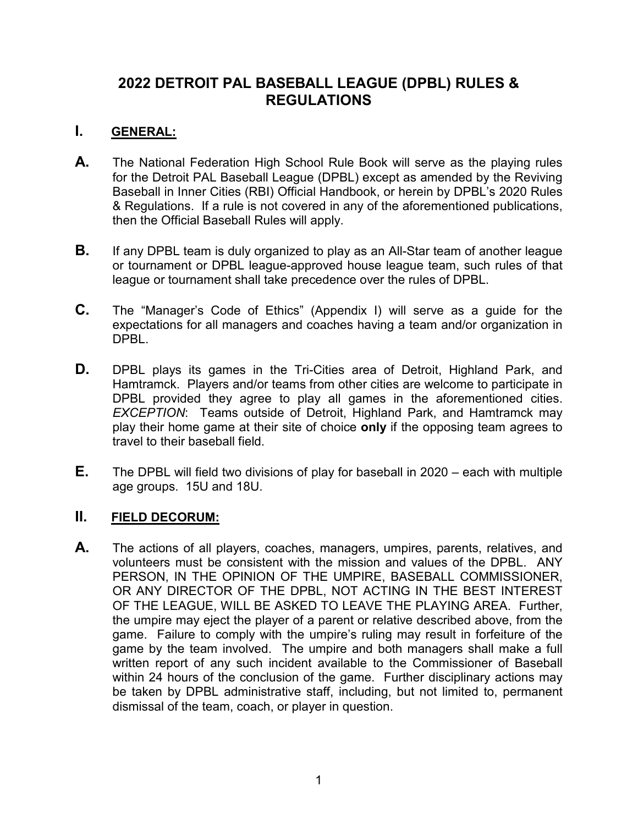# **2022 DETROIT PAL BASEBALL LEAGUE (DPBL) RULES & REGULATIONS**

# **I. GENERAL:**

- **A.** The National Federation High School Rule Book will serve as the playing rules for the Detroit PAL Baseball League (DPBL) except as amended by the Reviving Baseball in Inner Cities (RBI) Official Handbook, or herein by DPBL's 2020 Rules & Regulations. If a rule is not covered in any of the aforementioned publications, then the Official Baseball Rules will apply.
- **B.** If any DPBL team is duly organized to play as an All-Star team of another league or tournament or DPBL league-approved house league team, such rules of that league or tournament shall take precedence over the rules of DPBL.
- **C.** The "Manager's Code of Ethics" (Appendix I) will serve as a guide for the expectations for all managers and coaches having a team and/or organization in DPBL.
- **D.** DPBL plays its games in the Tri-Cities area of Detroit, Highland Park, and Hamtramck. Players and/or teams from other cities are welcome to participate in DPBL provided they agree to play all games in the aforementioned cities. *EXCEPTION*: Teams outside of Detroit, Highland Park, and Hamtramck may play their home game at their site of choice **only** if the opposing team agrees to travel to their baseball field.
- **E.** The DPBL will field two divisions of play for baseball in 2020 each with multiple age groups. 15U and 18U.

### **II. FIELD DECORUM:**

**A.** The actions of all players, coaches, managers, umpires, parents, relatives, and volunteers must be consistent with the mission and values of the DPBL. ANY PERSON, IN THE OPINION OF THE UMPIRE, BASEBALL COMMISSIONER, OR ANY DIRECTOR OF THE DPBL, NOT ACTING IN THE BEST INTEREST OF THE LEAGUE, WILL BE ASKED TO LEAVE THE PLAYING AREA. Further, the umpire may eject the player of a parent or relative described above, from the game. Failure to comply with the umpire's ruling may result in forfeiture of the game by the team involved. The umpire and both managers shall make a full written report of any such incident available to the Commissioner of Baseball within 24 hours of the conclusion of the game. Further disciplinary actions may be taken by DPBL administrative staff, including, but not limited to, permanent dismissal of the team, coach, or player in question.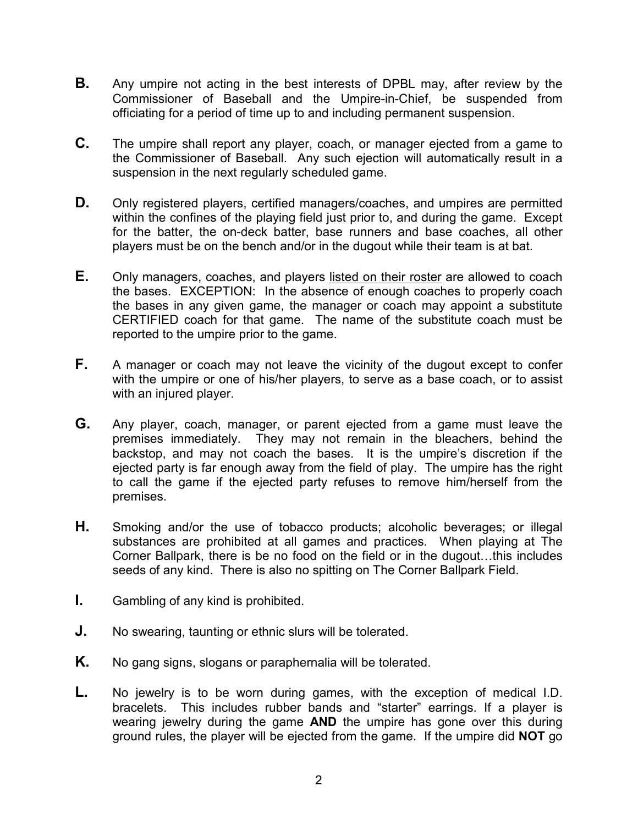- **B.** Any umpire not acting in the best interests of DPBL may, after review by the Commissioner of Baseball and the Umpire-in-Chief, be suspended from officiating for a period of time up to and including permanent suspension.
- **C.** The umpire shall report any player, coach, or manager ejected from a game to the Commissioner of Baseball. Any such ejection will automatically result in a suspension in the next regularly scheduled game.
- **D.** Only registered players, certified managers/coaches, and umpires are permitted within the confines of the playing field just prior to, and during the game. Except for the batter, the on-deck batter, base runners and base coaches, all other players must be on the bench and/or in the dugout while their team is at bat.
- **E.** Only managers, coaches, and players listed on their roster are allowed to coach the bases. EXCEPTION: In the absence of enough coaches to properly coach the bases in any given game, the manager or coach may appoint a substitute CERTIFIED coach for that game. The name of the substitute coach must be reported to the umpire prior to the game.
- **F.** A manager or coach may not leave the vicinity of the dugout except to confer with the umpire or one of his/her players, to serve as a base coach, or to assist with an injured player.
- **G.** Any player, coach, manager, or parent ejected from a game must leave the premises immediately. They may not remain in the bleachers, behind the backstop, and may not coach the bases. It is the umpire's discretion if the ejected party is far enough away from the field of play. The umpire has the right to call the game if the ejected party refuses to remove him/herself from the premises.
- **H.** Smoking and/or the use of tobacco products; alcoholic beverages; or illegal substances are prohibited at all games and practices. When playing at The Corner Ballpark, there is be no food on the field or in the dugout…this includes seeds of any kind. There is also no spitting on The Corner Ballpark Field.
- **I.** Gambling of any kind is prohibited.
- **J.** No swearing, taunting or ethnic slurs will be tolerated.
- **K.** No gang signs, slogans or paraphernalia will be tolerated.
- **L.** No jewelry is to be worn during games, with the exception of medical I.D. bracelets. This includes rubber bands and "starter" earrings. If a player is wearing jewelry during the game **AND** the umpire has gone over this during ground rules, the player will be ejected from the game. If the umpire did **NOT** go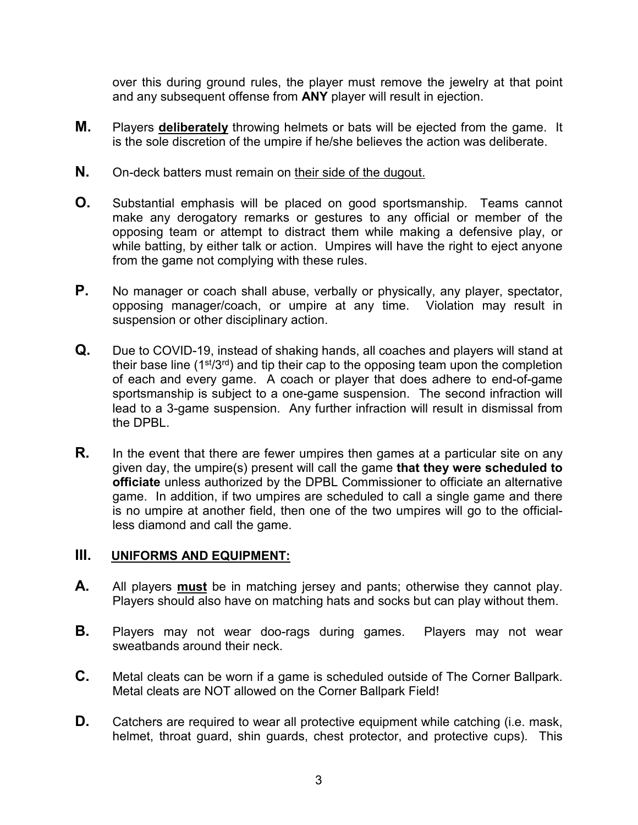over this during ground rules, the player must remove the jewelry at that point and any subsequent offense from **ANY** player will result in ejection.

- **M.** Players **deliberately** throwing helmets or bats will be ejected from the game. It is the sole discretion of the umpire if he/she believes the action was deliberate.
- **N.** On-deck batters must remain on their side of the dugout.
- **O.** Substantial emphasis will be placed on good sportsmanship. Teams cannot make any derogatory remarks or gestures to any official or member of the opposing team or attempt to distract them while making a defensive play, or while batting, by either talk or action. Umpires will have the right to eject anyone from the game not complying with these rules.
- **P.** No manager or coach shall abuse, verbally or physically, any player, spectator, opposing manager/coach, or umpire at any time. Violation may result in suspension or other disciplinary action.
- **Q.** Due to COVID-19, instead of shaking hands, all coaches and players will stand at their base line  $(1^{st}/3^{rd})$  and tip their cap to the opposing team upon the completion of each and every game. A coach or player that does adhere to end-of-game sportsmanship is subject to a one-game suspension. The second infraction will lead to a 3-game suspension. Any further infraction will result in dismissal from the DPBL.
- **R.** In the event that there are fewer umpires then games at a particular site on any given day, the umpire(s) present will call the game **that they were scheduled to officiate** unless authorized by the DPBL Commissioner to officiate an alternative game. In addition, if two umpires are scheduled to call a single game and there is no umpire at another field, then one of the two umpires will go to the officialless diamond and call the game.

### **III. UNIFORMS AND EQUIPMENT:**

- **A.** All players **must** be in matching jersey and pants; otherwise they cannot play. Players should also have on matching hats and socks but can play without them.
- **B.** Players may not wear doo-rags during games. Players may not wear sweatbands around their neck.
- **C.** Metal cleats can be worn if a game is scheduled outside of The Corner Ballpark. Metal cleats are NOT allowed on the Corner Ballpark Field!
- **D.** Catchers are required to wear all protective equipment while catching (i.e. mask, helmet, throat guard, shin guards, chest protector, and protective cups). This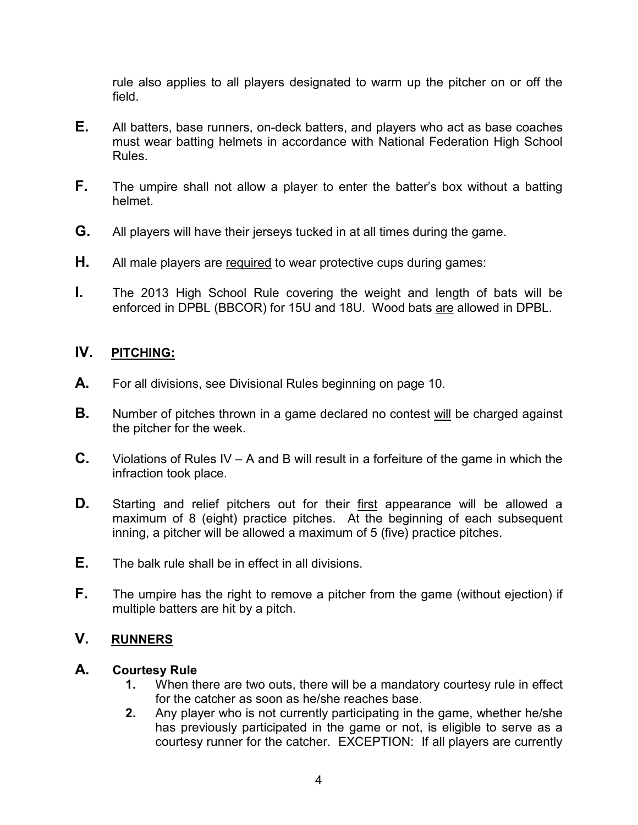rule also applies to all players designated to warm up the pitcher on or off the field.

- **E.** All batters, base runners, on-deck batters, and players who act as base coaches must wear batting helmets in accordance with National Federation High School Rules.
- **F.** The umpire shall not allow a player to enter the batter's box without a batting helmet.
- **G.** All players will have their jerseys tucked in at all times during the game.
- **H.** All male players are required to wear protective cups during games:
- **I.** The 2013 High School Rule covering the weight and length of bats will be enforced in DPBL (BBCOR) for 15U and 18U. Wood bats are allowed in DPBL.

### **IV. PITCHING:**

- **A.** For all divisions, see Divisional Rules beginning on page 10.
- **B.** Number of pitches thrown in a game declared no contest will be charged against the pitcher for the week.
- **C.** Violations of Rules IV A and B will result in a forfeiture of the game in which the infraction took place.
- **D.** Starting and relief pitchers out for their first appearance will be allowed a maximum of 8 (eight) practice pitches. At the beginning of each subsequent inning, a pitcher will be allowed a maximum of 5 (five) practice pitches.
- **E.** The balk rule shall be in effect in all divisions.
- **F.** The umpire has the right to remove a pitcher from the game (without ejection) if multiple batters are hit by a pitch.

### **V. RUNNERS**

#### **A. Courtesy Rule**

- **1.** When there are two outs, there will be a mandatory courtesy rule in effect for the catcher as soon as he/she reaches base.
- **2.** Any player who is not currently participating in the game, whether he/she has previously participated in the game or not, is eligible to serve as a courtesy runner for the catcher. EXCEPTION: If all players are currently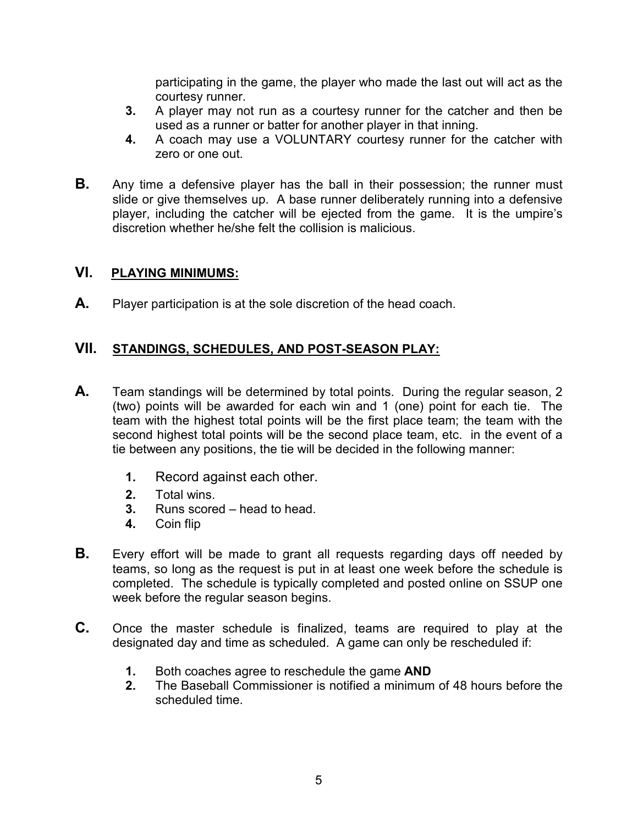participating in the game, the player who made the last out will act as the courtesy runner.

- **3.** A player may not run as a courtesy runner for the catcher and then be used as a runner or batter for another player in that inning.
- **4.** A coach may use a VOLUNTARY courtesy runner for the catcher with zero or one out.
- **B.** Any time a defensive player has the ball in their possession; the runner must slide or give themselves up. A base runner deliberately running into a defensive player, including the catcher will be ejected from the game. It is the umpire's discretion whether he/she felt the collision is malicious.

### **VI. PLAYING MINIMUMS:**

**A.** Player participation is at the sole discretion of the head coach.

# **VII. STANDINGS, SCHEDULES, AND POST-SEASON PLAY:**

- **A.** Team standings will be determined by total points. During the regular season, 2 (two) points will be awarded for each win and 1 (one) point for each tie. The team with the highest total points will be the first place team; the team with the second highest total points will be the second place team, etc. in the event of a tie between any positions, the tie will be decided in the following manner:
	- **1.** Record against each other.
	- **2.** Total wins.
	- **3.** Runs scored head to head.
	- **4.** Coin flip
- **B.** Every effort will be made to grant all requests regarding days off needed by teams, so long as the request is put in at least one week before the schedule is completed. The schedule is typically completed and posted online on SSUP one week before the regular season begins.
- **C.** Once the master schedule is finalized, teams are required to play at the designated day and time as scheduled. A game can only be rescheduled if:
	- **1.** Both coaches agree to reschedule the game **AND**
	- **2.** The Baseball Commissioner is notified a minimum of 48 hours before the scheduled time.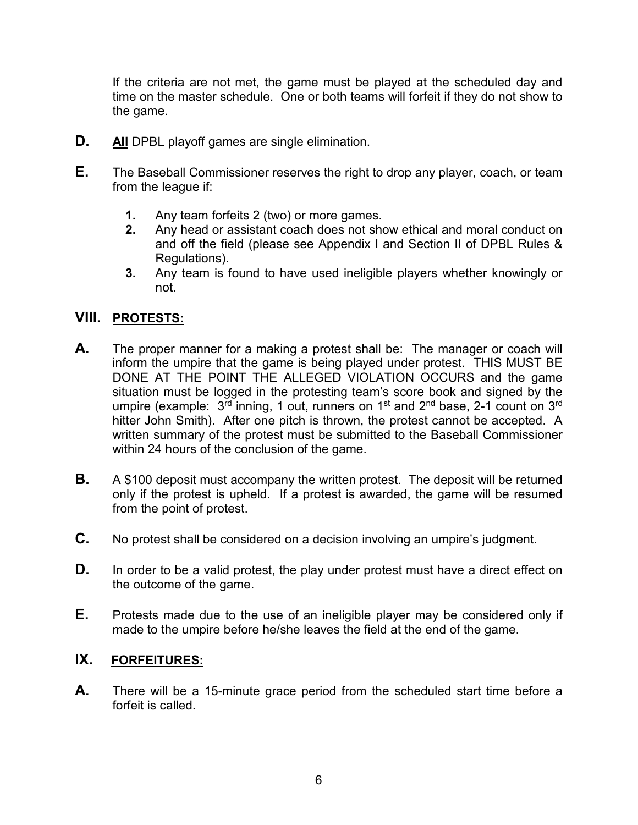If the criteria are not met, the game must be played at the scheduled day and time on the master schedule. One or both teams will forfeit if they do not show to the game.

- **D. All** DPBL playoff games are single elimination.
- **E.** The Baseball Commissioner reserves the right to drop any player, coach, or team from the league if:
	- **1.** Any team forfeits 2 (two) or more games.
	- **2.** Any head or assistant coach does not show ethical and moral conduct on and off the field (please see Appendix I and Section II of DPBL Rules & Regulations).
	- **3.** Any team is found to have used ineligible players whether knowingly or not.

### **VIII. PROTESTS:**

- **A.** The proper manner for a making a protest shall be: The manager or coach will inform the umpire that the game is being played under protest. THIS MUST BE DONE AT THE POINT THE ALLEGED VIOLATION OCCURS and the game situation must be logged in the protesting team's score book and signed by the umpire (example:  $3^{\text{rd}}$  inning, 1 out, runners on 1<sup>st</sup> and 2<sup>nd</sup> base, 2-1 count on 3<sup>rd</sup> hitter John Smith). After one pitch is thrown, the protest cannot be accepted. A written summary of the protest must be submitted to the Baseball Commissioner within 24 hours of the conclusion of the game.
- **B.** A \$100 deposit must accompany the written protest. The deposit will be returned only if the protest is upheld. If a protest is awarded, the game will be resumed from the point of protest.
- **C.** No protest shall be considered on a decision involving an umpire's judgment.
- **D.** In order to be a valid protest, the play under protest must have a direct effect on the outcome of the game.
- **E.** Protests made due to the use of an ineligible player may be considered only if made to the umpire before he/she leaves the field at the end of the game.

### **IX. FORFEITURES:**

**A.** There will be a 15-minute grace period from the scheduled start time before a forfeit is called.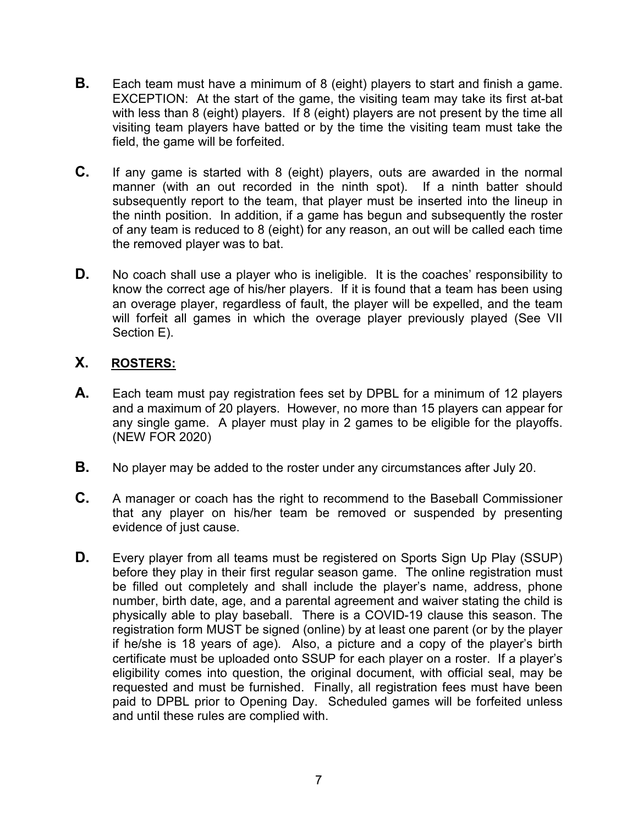- **B.** Each team must have a minimum of 8 (eight) players to start and finish a game. EXCEPTION: At the start of the game, the visiting team may take its first at-bat with less than 8 (eight) players. If 8 (eight) players are not present by the time all visiting team players have batted or by the time the visiting team must take the field, the game will be forfeited.
- **C.** If any game is started with 8 (eight) players, outs are awarded in the normal manner (with an out recorded in the ninth spot). If a ninth batter should subsequently report to the team, that player must be inserted into the lineup in the ninth position. In addition, if a game has begun and subsequently the roster of any team is reduced to 8 (eight) for any reason, an out will be called each time the removed player was to bat.
- **D.** No coach shall use a player who is ineligible. It is the coaches' responsibility to know the correct age of his/her players. If it is found that a team has been using an overage player, regardless of fault, the player will be expelled, and the team will forfeit all games in which the overage player previously played (See VII Section E).

# **X. ROSTERS:**

- **A.** Each team must pay registration fees set by DPBL for a minimum of 12 players and a maximum of 20 players. However, no more than 15 players can appear for any single game. A player must play in 2 games to be eligible for the playoffs. (NEW FOR 2020)
- **B.** No player may be added to the roster under any circumstances after July 20.
- **C.** A manager or coach has the right to recommend to the Baseball Commissioner that any player on his/her team be removed or suspended by presenting evidence of just cause.
- **D.** Every player from all teams must be registered on Sports Sign Up Play (SSUP) before they play in their first regular season game. The online registration must be filled out completely and shall include the player's name, address, phone number, birth date, age, and a parental agreement and waiver stating the child is physically able to play baseball. There is a COVID-19 clause this season. The registration form MUST be signed (online) by at least one parent (or by the player if he/she is 18 years of age). Also, a picture and a copy of the player's birth certificate must be uploaded onto SSUP for each player on a roster. If a player's eligibility comes into question, the original document, with official seal, may be requested and must be furnished. Finally, all registration fees must have been paid to DPBL prior to Opening Day. Scheduled games will be forfeited unless and until these rules are complied with.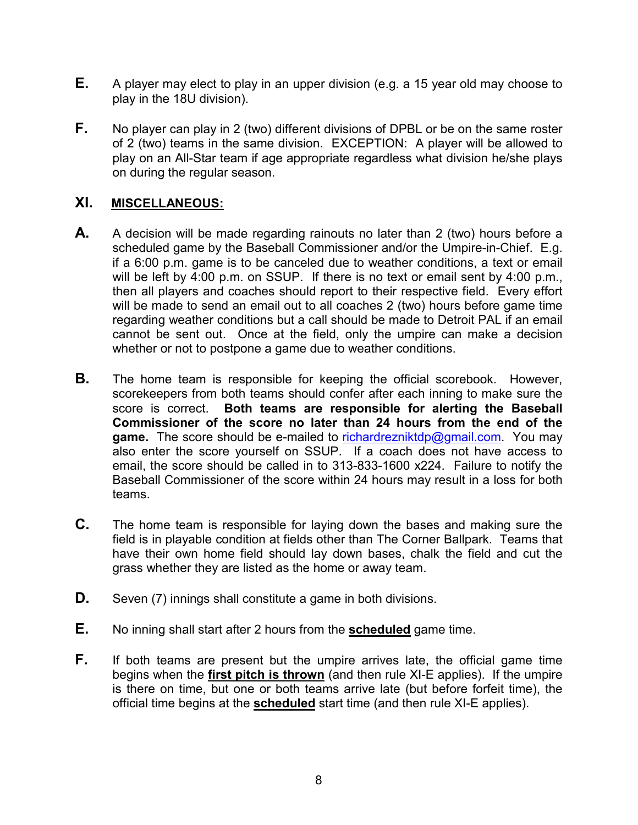- **E.** A player may elect to play in an upper division (e.g. a 15 year old may choose to play in the 18U division).
- **F.** No player can play in 2 (two) different divisions of DPBL or be on the same roster of 2 (two) teams in the same division. EXCEPTION: A player will be allowed to play on an All-Star team if age appropriate regardless what division he/she plays on during the regular season.

#### **XI. MISCELLANEOUS:**

- **A.** A decision will be made regarding rainouts no later than 2 (two) hours before a scheduled game by the Baseball Commissioner and/or the Umpire-in-Chief. E.g. if a 6:00 p.m. game is to be canceled due to weather conditions, a text or email will be left by 4:00 p.m. on SSUP. If there is no text or email sent by 4:00 p.m., then all players and coaches should report to their respective field. Every effort will be made to send an email out to all coaches 2 (two) hours before game time regarding weather conditions but a call should be made to Detroit PAL if an email cannot be sent out. Once at the field, only the umpire can make a decision whether or not to postpone a game due to weather conditions.
- **B.** The home team is responsible for keeping the official scorebook. However, scorekeepers from both teams should confer after each inning to make sure the score is correct. **Both teams are responsible for alerting the Baseball Commissioner of the score no later than 24 hours from the end of the**  game. The score should be e-mailed to [richardrezniktdp@gmail.com.](mailto:richardrezniktdp@gmail.com) You may also enter the score yourself on SSUP. If a coach does not have access to email, the score should be called in to 313-833-1600 x224. Failure to notify the Baseball Commissioner of the score within 24 hours may result in a loss for both teams.
- **C.** The home team is responsible for laying down the bases and making sure the field is in playable condition at fields other than The Corner Ballpark. Teams that have their own home field should lay down bases, chalk the field and cut the grass whether they are listed as the home or away team.
- **D.** Seven (7) innings shall constitute a game in both divisions.
- **E.** No inning shall start after 2 hours from the **scheduled** game time.
- **F.** If both teams are present but the umpire arrives late, the official game time begins when the **first pitch is thrown** (and then rule XI-E applies). If the umpire is there on time, but one or both teams arrive late (but before forfeit time), the official time begins at the **scheduled** start time (and then rule XI-E applies).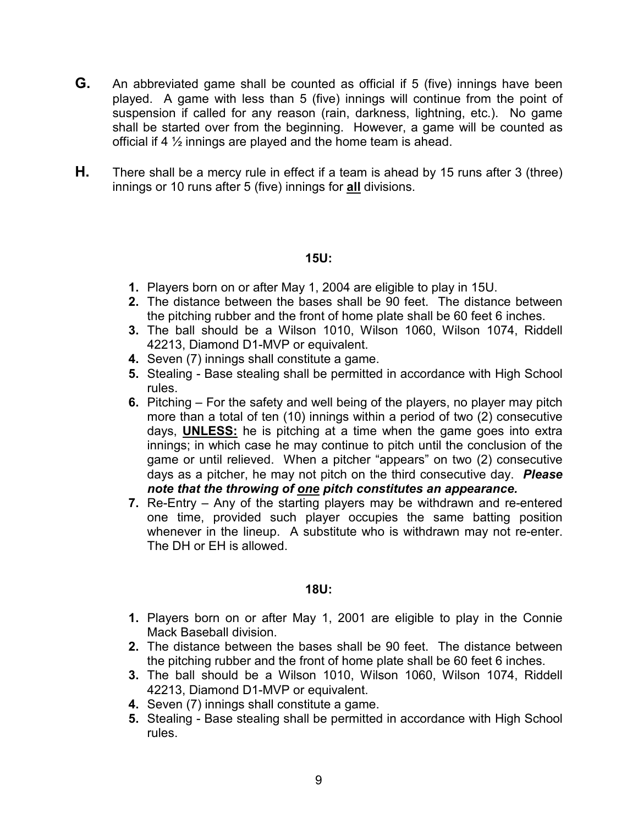- **G.** An abbreviated game shall be counted as official if 5 (five) innings have been played. A game with less than 5 (five) innings will continue from the point of suspension if called for any reason (rain, darkness, lightning, etc.). No game shall be started over from the beginning. However, a game will be counted as official if 4  $\frac{1}{2}$  innings are played and the home team is ahead.
- **H.** There shall be a mercy rule in effect if a team is ahead by 15 runs after 3 (three) innings or 10 runs after 5 (five) innings for **all** divisions.

#### **15U:**

- **1.** Players born on or after May 1, 2004 are eligible to play in 15U.
- **2.** The distance between the bases shall be 90 feet. The distance between the pitching rubber and the front of home plate shall be 60 feet 6 inches.
- **3.** The ball should be a Wilson 1010, Wilson 1060, Wilson 1074, Riddell 42213, Diamond D1-MVP or equivalent.
- **4.** Seven (7) innings shall constitute a game.
- **5.** Stealing Base stealing shall be permitted in accordance with High School rules.
- **6.** Pitching For the safety and well being of the players, no player may pitch more than a total of ten (10) innings within a period of two (2) consecutive days, **UNLESS:** he is pitching at a time when the game goes into extra innings; in which case he may continue to pitch until the conclusion of the game or until relieved. When a pitcher "appears" on two (2) consecutive days as a pitcher, he may not pitch on the third consecutive day. *Please note that the throwing of one pitch constitutes an appearance.*
- **7.** Re-Entry Any of the starting players may be withdrawn and re-entered one time, provided such player occupies the same batting position whenever in the lineup. A substitute who is withdrawn may not re-enter. The DH or EH is allowed.

#### **18U:**

- **1.** Players born on or after May 1, 2001 are eligible to play in the Connie Mack Baseball division.
- **2.** The distance between the bases shall be 90 feet. The distance between the pitching rubber and the front of home plate shall be 60 feet 6 inches.
- **3.** The ball should be a Wilson 1010, Wilson 1060, Wilson 1074, Riddell 42213, Diamond D1-MVP or equivalent.
- **4.** Seven (7) innings shall constitute a game.
- **5.** Stealing Base stealing shall be permitted in accordance with High School rules.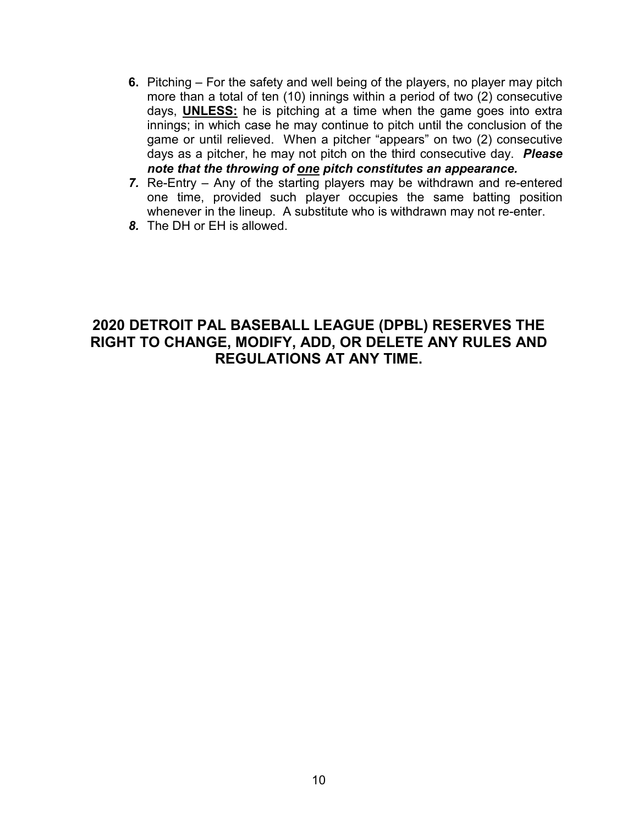- **6.** Pitching For the safety and well being of the players, no player may pitch more than a total of ten (10) innings within a period of two (2) consecutive days, **UNLESS:** he is pitching at a time when the game goes into extra innings; in which case he may continue to pitch until the conclusion of the game or until relieved. When a pitcher "appears" on two (2) consecutive days as a pitcher, he may not pitch on the third consecutive day. *Please note that the throwing of one pitch constitutes an appearance.*
- *7.* Re-Entry Any of the starting players may be withdrawn and re-entered one time, provided such player occupies the same batting position whenever in the lineup. A substitute who is withdrawn may not re-enter.
- *8.* The DH or EH is allowed.

# **2020 DETROIT PAL BASEBALL LEAGUE (DPBL) RESERVES THE RIGHT TO CHANGE, MODIFY, ADD, OR DELETE ANY RULES AND REGULATIONS AT ANY TIME.**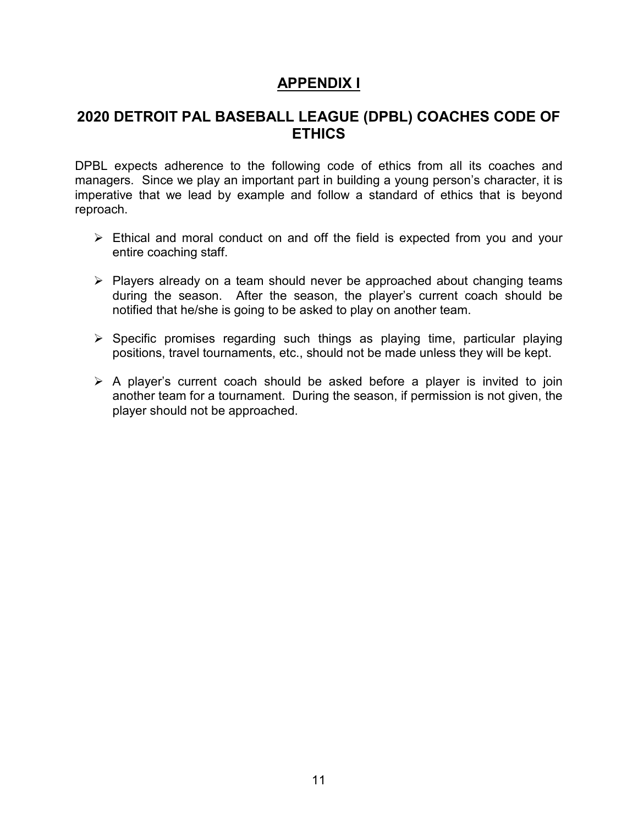## **APPENDIX I**

# **2020 DETROIT PAL BASEBALL LEAGUE (DPBL) COACHES CODE OF ETHICS**

DPBL expects adherence to the following code of ethics from all its coaches and managers. Since we play an important part in building a young person's character, it is imperative that we lead by example and follow a standard of ethics that is beyond reproach.

- $\triangleright$  Ethical and moral conduct on and off the field is expected from you and your entire coaching staff.
- $\triangleright$  Players already on a team should never be approached about changing teams during the season. After the season, the player's current coach should be notified that he/she is going to be asked to play on another team.
- $\triangleright$  Specific promises regarding such things as playing time, particular playing positions, travel tournaments, etc., should not be made unless they will be kept.
- $\triangleright$  A player's current coach should be asked before a player is invited to join another team for a tournament. During the season, if permission is not given, the player should not be approached.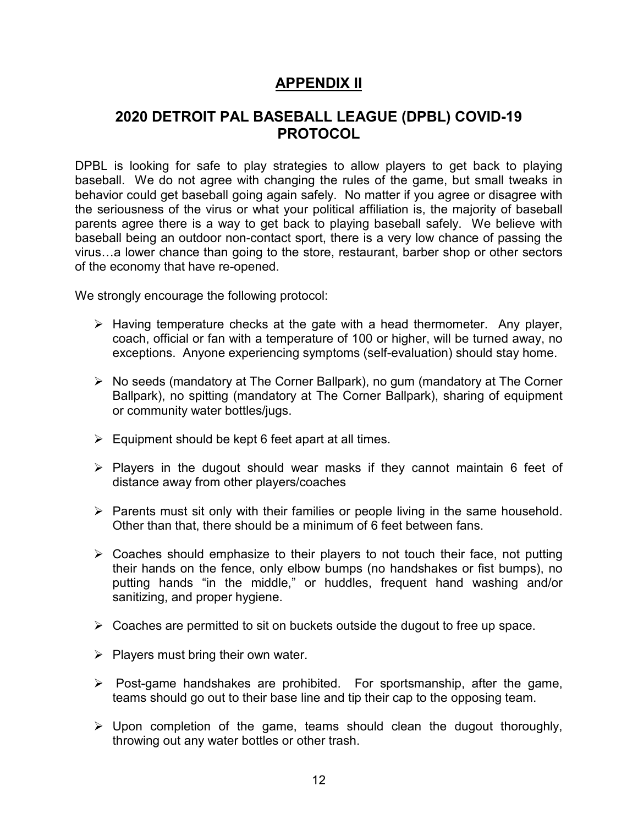# **APPENDIX II**

# **2020 DETROIT PAL BASEBALL LEAGUE (DPBL) COVID-19 PROTOCOL**

DPBL is looking for safe to play strategies to allow players to get back to playing baseball. We do not agree with changing the rules of the game, but small tweaks in behavior could get baseball going again safely. No matter if you agree or disagree with the seriousness of the virus or what your political affiliation is, the majority of baseball parents agree there is a way to get back to playing baseball safely. We believe with baseball being an outdoor non-contact sport, there is a very low chance of passing the virus…a lower chance than going to the store, restaurant, barber shop or other sectors of the economy that have re-opened.

We strongly encourage the following protocol:

- $\triangleright$  Having temperature checks at the gate with a head thermometer. Any player, coach, official or fan with a temperature of 100 or higher, will be turned away, no exceptions. Anyone experiencing symptoms (self-evaluation) should stay home.
- $\triangleright$  No seeds (mandatory at The Corner Ballpark), no gum (mandatory at The Corner Ballpark), no spitting (mandatory at The Corner Ballpark), sharing of equipment or community water bottles/jugs.
- $\triangleright$  Equipment should be kept 6 feet apart at all times.
- $\triangleright$  Players in the dugout should wear masks if they cannot maintain 6 feet of distance away from other players/coaches
- $\triangleright$  Parents must sit only with their families or people living in the same household. Other than that, there should be a minimum of 6 feet between fans.
- $\triangleright$  Coaches should emphasize to their players to not touch their face, not putting their hands on the fence, only elbow bumps (no handshakes or fist bumps), no putting hands "in the middle," or huddles, frequent hand washing and/or sanitizing, and proper hygiene.
- $\triangleright$  Coaches are permitted to sit on buckets outside the dugout to free up space.
- $\triangleright$  Players must bring their own water.
- $\triangleright$  Post-game handshakes are prohibited. For sportsmanship, after the game, teams should go out to their base line and tip their cap to the opposing team.
- $\triangleright$  Upon completion of the game, teams should clean the dugout thoroughly, throwing out any water bottles or other trash.